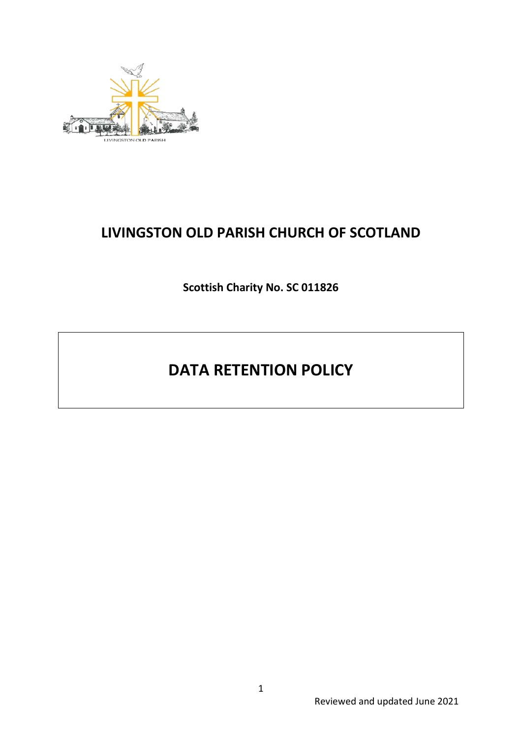

## **LIVINGSTON OLD PARISH CHURCH OF SCOTLAND**

**Scottish Charity No. SC 011826**

# **DATA RETENTION POLICY**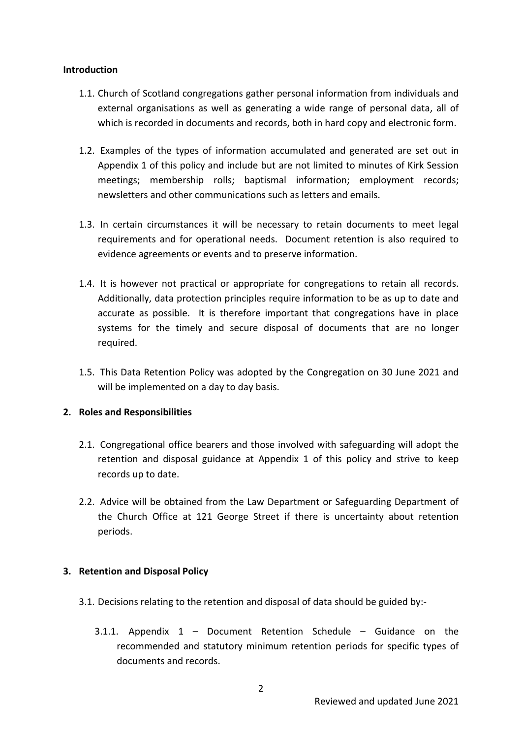## **Introduction**

- 1.1. Church of Scotland congregations gather personal information from individuals and external organisations as well as generating a wide range of personal data, all of which is recorded in documents and records, both in hard copy and electronic form.
- 1.2. Examples of the types of information accumulated and generated are set out in Appendix 1 of this policy and include but are not limited to minutes of Kirk Session meetings; membership rolls; baptismal information; employment records; newsletters and other communications such as letters and emails.
- 1.3. In certain circumstances it will be necessary to retain documents to meet legal requirements and for operational needs. Document retention is also required to evidence agreements or events and to preserve information.
- 1.4. It is however not practical or appropriate for congregations to retain all records. Additionally, data protection principles require information to be as up to date and accurate as possible. It is therefore important that congregations have in place systems for the timely and secure disposal of documents that are no longer required.
- 1.5. This Data Retention Policy was adopted by the Congregation on 30 June 2021 and will be implemented on a day to day basis.

## **2. Roles and Responsibilities**

- 2.1. Congregational office bearers and those involved with safeguarding will adopt the retention and disposal guidance at Appendix 1 of this policy and strive to keep records up to date.
- 2.2. Advice will be obtained from the Law Department or Safeguarding Department of the Church Office at 121 George Street if there is uncertainty about retention periods.

## **3. Retention and Disposal Policy**

- 3.1. Decisions relating to the retention and disposal of data should be guided by:-
	- 3.1.1. Appendix 1 Document Retention Schedule Guidance on the recommended and statutory minimum retention periods for specific types of documents and records.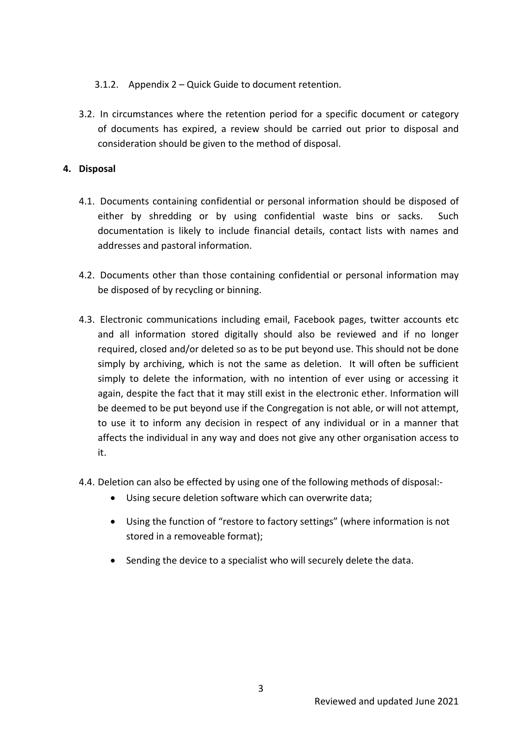- 3.1.2. Appendix 2 Quick Guide to document retention.
- 3.2. In circumstances where the retention period for a specific document or category of documents has expired, a review should be carried out prior to disposal and consideration should be given to the method of disposal.

## **4. Disposal**

- 4.1. Documents containing confidential or personal information should be disposed of either by shredding or by using confidential waste bins or sacks. Such documentation is likely to include financial details, contact lists with names and addresses and pastoral information.
- 4.2. Documents other than those containing confidential or personal information may be disposed of by recycling or binning.
- 4.3. Electronic communications including email, Facebook pages, twitter accounts etc and all information stored digitally should also be reviewed and if no longer required, closed and/or deleted so as to be put beyond use. This should not be done simply by archiving, which is not the same as deletion. It will often be sufficient simply to delete the information, with no intention of ever using or accessing it again, despite the fact that it may still exist in the electronic ether. Information will be deemed to be put beyond use if the Congregation is not able, or will not attempt, to use it to inform any decision in respect of any individual or in a manner that affects the individual in any way and does not give any other organisation access to it.
- 4.4. Deletion can also be effected by using one of the following methods of disposal:-
	- Using secure deletion software which can overwrite data;
	- Using the function of "restore to factory settings" (where information is not stored in a removeable format);
	- Sending the device to a specialist who will securely delete the data.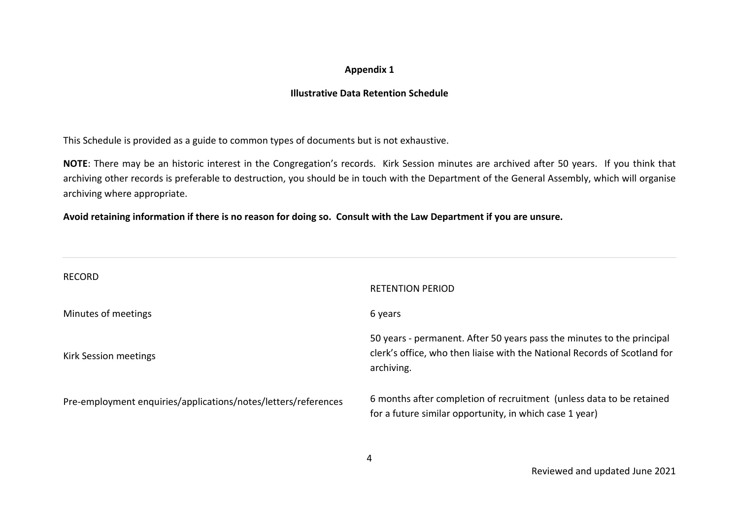#### **Appendix 1**

### **Illustrative Data Retention Schedule**

This Schedule is provided as a guide to common types of documents but is not exhaustive.

**NOTE**: There may be an historic interest in the Congregation's records. Kirk Session minutes are archived after 50 years. If you think that archiving other records is preferable to destruction, you should be in touch with the Department of the General Assembly, which will organise archiving where appropriate.

**Avoid retaining information if there is no reason for doing so. Consult with the Law Department if you are unsure.**

| <b>RECORD</b>                                                  | <b>RETENTION PERIOD</b>                                                                                                                                           |
|----------------------------------------------------------------|-------------------------------------------------------------------------------------------------------------------------------------------------------------------|
| Minutes of meetings                                            | 6 years                                                                                                                                                           |
| Kirk Session meetings                                          | 50 years - permanent. After 50 years pass the minutes to the principal<br>clerk's office, who then liaise with the National Records of Scotland for<br>archiving. |
| Pre-employment enquiries/applications/notes/letters/references | 6 months after completion of recruitment (unless data to be retained<br>for a future similar opportunity, in which case 1 year)                                   |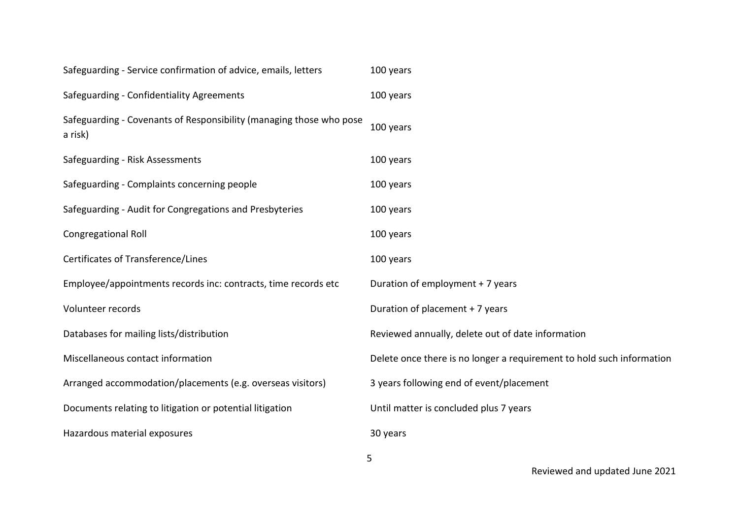| 100 years                                                             |
|-----------------------------------------------------------------------|
| 100 years                                                             |
| 100 years                                                             |
| 100 years                                                             |
| 100 years                                                             |
| 100 years                                                             |
| 100 years                                                             |
| 100 years                                                             |
| Duration of employment + 7 years                                      |
| Duration of placement + 7 years                                       |
| Reviewed annually, delete out of date information                     |
| Delete once there is no longer a requirement to hold such information |
| 3 years following end of event/placement                              |
| Until matter is concluded plus 7 years                                |
| 30 years                                                              |
|                                                                       |

5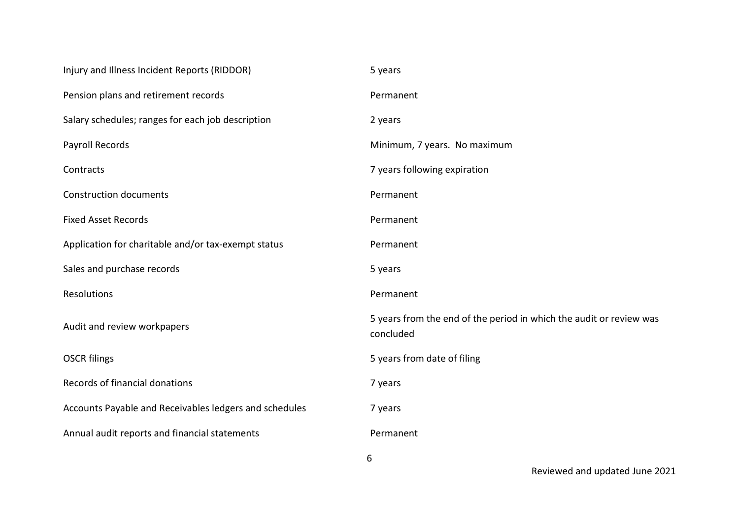| Injury and Illness Incident Reports (RIDDOR)           | 5 years                                                                          |
|--------------------------------------------------------|----------------------------------------------------------------------------------|
| Pension plans and retirement records                   | Permanent                                                                        |
| Salary schedules; ranges for each job description      | 2 years                                                                          |
| Payroll Records                                        | Minimum, 7 years. No maximum                                                     |
| Contracts                                              | 7 years following expiration                                                     |
| <b>Construction documents</b>                          | Permanent                                                                        |
| <b>Fixed Asset Records</b>                             | Permanent                                                                        |
| Application for charitable and/or tax-exempt status    | Permanent                                                                        |
| Sales and purchase records                             | 5 years                                                                          |
| Resolutions                                            | Permanent                                                                        |
| Audit and review workpapers                            | 5 years from the end of the period in which the audit or review was<br>concluded |
| <b>OSCR filings</b>                                    | 5 years from date of filing                                                      |
| Records of financial donations                         | 7 years                                                                          |
| Accounts Payable and Receivables ledgers and schedules | 7 years                                                                          |
| Annual audit reports and financial statements          | Permanent                                                                        |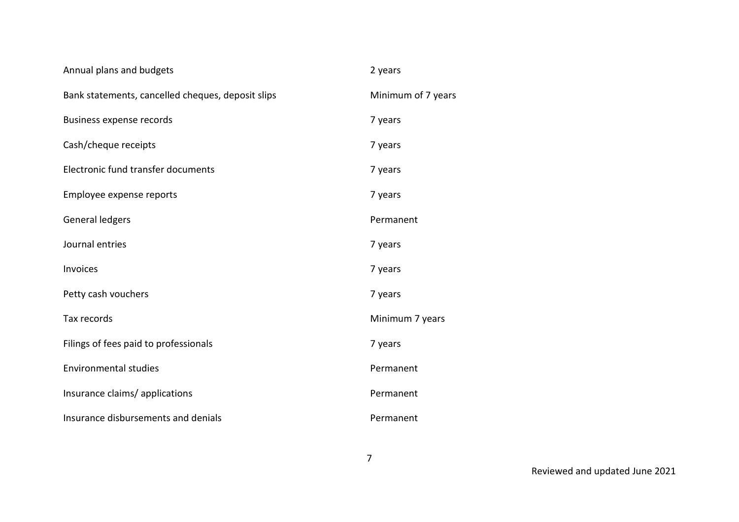| Annual plans and budgets                          | 2 years            |
|---------------------------------------------------|--------------------|
| Bank statements, cancelled cheques, deposit slips | Minimum of 7 years |
| Business expense records                          | 7 years            |
| Cash/cheque receipts                              | 7 years            |
| Electronic fund transfer documents                | 7 years            |
| Employee expense reports                          | 7 years            |
| General ledgers                                   | Permanent          |
| Journal entries                                   | 7 years            |
| Invoices                                          | 7 years            |
| Petty cash vouchers                               | 7 years            |
| Tax records                                       | Minimum 7 years    |
| Filings of fees paid to professionals             | 7 years            |
| <b>Environmental studies</b>                      | Permanent          |
| Insurance claims/ applications                    | Permanent          |
| Insurance disbursements and denials               | Permanent          |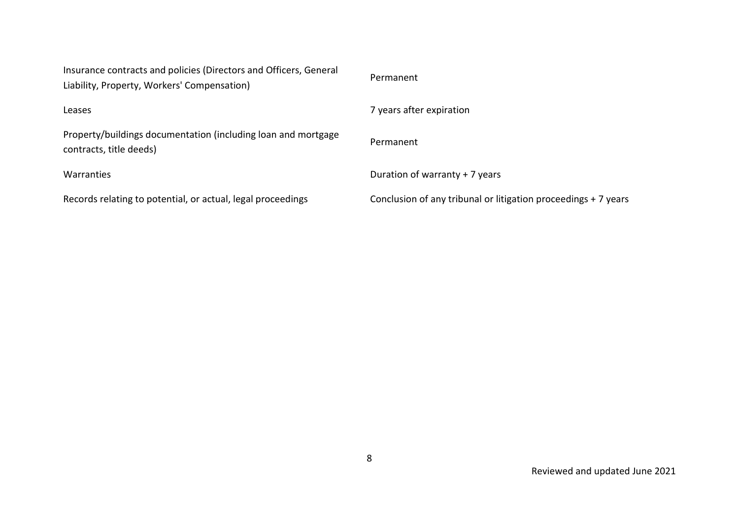| Insurance contracts and policies (Directors and Officers, General<br>Liability, Property, Workers' Compensation) | Permanent                                                      |
|------------------------------------------------------------------------------------------------------------------|----------------------------------------------------------------|
| Leases                                                                                                           | 7 years after expiration                                       |
| Property/buildings documentation (including loan and mortgage<br>contracts, title deeds)                         | Permanent                                                      |
| Warranties                                                                                                       | Duration of warranty + 7 years                                 |
| Records relating to potential, or actual, legal proceedings                                                      | Conclusion of any tribunal or litigation proceedings + 7 years |